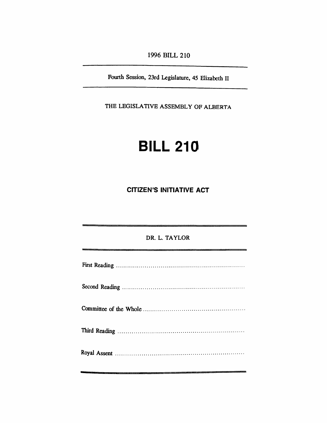*1996 BILL 210*

*Fourth Session, 23rd Legislature, 45 Elizabeth II*

*THE LEGISLATIVE ASSEMBLY OF ALBERTA*

# *BILL 210*

*CITIZEN'S INITIATIVE ACT*

| DR. L. TAYLOR<br><u> Andrewski konstantinopolitički konstantinopolitički konstantinopolitički konstantinopolitički konstantinopoli</u> |  |  |  |  |
|----------------------------------------------------------------------------------------------------------------------------------------|--|--|--|--|
|                                                                                                                                        |  |  |  |  |
|                                                                                                                                        |  |  |  |  |
|                                                                                                                                        |  |  |  |  |
|                                                                                                                                        |  |  |  |  |
|                                                                                                                                        |  |  |  |  |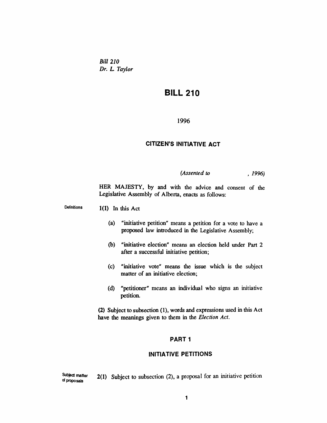*Bill 210 Dr. L Taylor*

# *BILL 210*

*1996*

#### *CITIZEN'S INITIATIVE ACT*

*(Assented to , 1996)*

*HER MAJESTY, by and with the advice and consent of the Legislative Assembly of Alberta, enacts as follows:*

*Definitions 1(1) In this Act*

- *(a) "initiative petition" means a petition for a vote to have a proposed law introduced in the Legislative Assembly;*
- *(b) "initiative election" means an election held under Part 2 after a successful initiative petition;*
- *(c) "initiative vote" means the issue which is the subject matter of an initiative election;*
- *(d) "petitioner" means an individual who signs an initiative petition.*

*(2) Subject to subsection (1), words and expressions used in this Act have the meanings given to them in the Election Act.*

#### *PART1*

#### *INITIATIVE PETITIONS*

*Subject matter of proposals 2(1) Subject to subsection (2), a proposal for an initiative petition*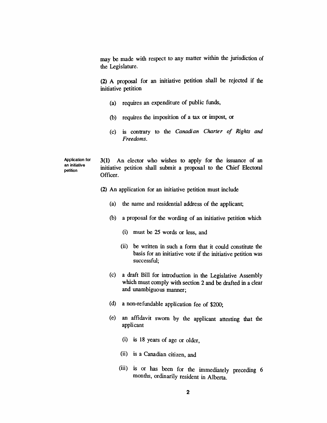*may be made with respect to any matter within the jurisdiction of the Legislature.*

*(2) A proposal for an initiative petition shall be rejected if the initiative petition*

- *(a) requires an expenditure of public funds,*
- *(b) requires the imposition of a tax or impost, or*
- *(c) is contrary to the Canadian Charter of Rights and Freedoms.*

*Application tor an initiative petition 3(1) An elector who wishes to apply for the issuance of an initiative petition shall submit a proposal to the Chief Electoral Officer.*

- *(2) An application for an initiative petition must include*
	- *(a) the name and residential address of the applicant;*
	- *(b) a proposal for the wording of an initiative petition which*
		- *(i) must be 25 words or less, and*
		- *(ii) be written in such a form that it could constitute the basis for an initiative vote if the initiative petition was successful;*
	- *(c) a draft Bill for introduction in the Legislative Assembly which must comply with section 2 and be drafted in a clear and unambiguous manner;*
	- *(d) a non-refundable application fee of \$200;*
	- *(e) an affidavit sworn by the applicant attesting that the applicant*
		- *(i) is 18 years of age or older,*
		- *(ii) is a Canadian citizen, and*
		- *(iii) is or has been for the immediately preceding 6 months, ordinarily resident in Alberta.*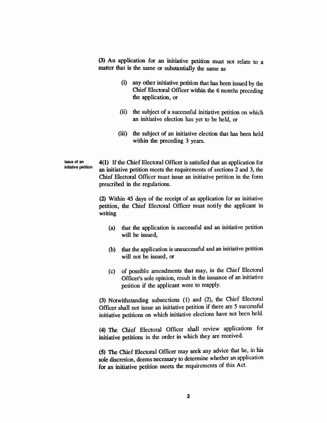*(3) An application for an initiative petition must not relate to a matter that is the same or substantially the same as*

- *(i) any other initiative petition that has been issued by the Chief Electoral Officer within the 6 months preceding the application, or*
- *(ii) the subject of a successful initiative petition on which an initiative election has yet to be held, or*
- *(iii) the subject of an initiative election that has been held within the preceding 3 years.*

*Issue of an initiative petition* *4(1) Ifthe Chief Electoral Officer is satisfied that an application for an initiative petition meets the requirements of sections 2 and 3, the Chief Electoral Officer must issue an initiative petition in the form prescribed in the regulations.*

*(2) Within 45 days of the receipt of an application for an initiative petition, the Chief Electoral Officer must notify the applicant in writing*

- *(a) that the application is successful and an initiative petition will be issued,*
- *(b) that the application is unsuccessful and an initiative petition will not be issued, or*
- *(c) of possible amendments that may, in the Chief Electoral Officer's sole opinion, result in the issuance of an initiative petition if the applicant were to reapply.*

*(3) Notwithstanding subsections (1) and (2), the Chief Electoral Officer shall not issue an initiative petition if there are 5 successful initiative petitions on which initiative elections have not been held.*

*(4) The Chief Electoral Officer shall review applications for initiative petitions in the order in which they are received.*

*(5) The Chief Electoral Officer may seek any advice that he, in his sole discretion, deems necessary to determine whether an application for an initiative petition meets the requirements of this Act.*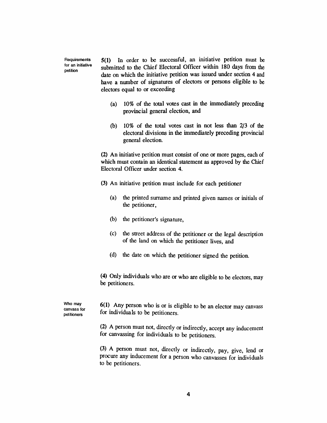*Requirements for an initiative petition*

*5(1) In order to be successful, an initiative petition must be submitted to the Chief Electoral Officer within 180 days from the date on which the initiative petition was issued under section 4 and have a number of signatures of electors or persons eligible to be electors equal to or exceeding*

- *(a) 10% of the total votes cast in the immediately preceding provincial general election, and*
- *(b) 10% of the total votes cast in not less than 2/3 of the electoral divisions in the immediately preceding provincial general election.*

*(2) An initiative petition must consist of one or more pages, each of which must contain an identical statement as approved by the Chief Electoral Officer under section 4.*

- *(3) An initiative petition must include for each petitioner*
	- *(a) the printed surname and printed given names or initials of the petitioner,*
	- *(b) the petitioner's signature,*
	- *(c) the street address of the petitioner or the legal description of the land on which the petitioner lives, and*
	- *(d) the date on which the petitioner signed the petition.*

*(4) Only individuals who are or who are eligible to be electors, may be petitioners.*

*Who may canvass for petitioners*

*6(1) Any person who is or is eligible to be an elector may canvass for individuals to be petitioners.*

*(2) A person must not, directly or indirectly, accept any inducement for canvassing for individuals to be petitioners.*

*(3) A person must not, directly or indirectly, pay, give, lend or procure any inducement for a person who canvasses for individuals to be petitioners.*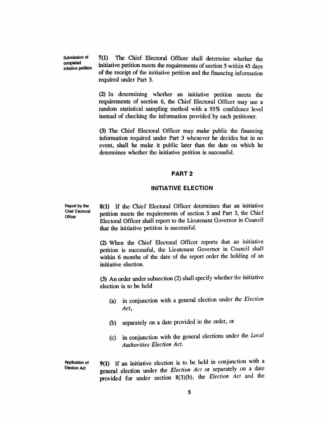*Submission of completed initiative petition* *7(1) The Chief Electoral Officer shall determine whether the initiative petition meets the requirements ofsection 5 within 45 days of the receipt of the initiative petition and the financing information required under Part 3.*

*(2) In determining whether an initiative petition meets the requirements of section 6, the Chief Electoral Officer may use a random statistical sampling method with a 95% confidence level instead of checking the information provided by each petitioner.*

*(3) The Chief Electoral Officer may make public the financing information required under Part 3 whenever he decides but in no event, shall he make it public later than the date on which he determines whether the initiative petition is successful.*

#### *PART 2*

#### *INITIATIVE ELECTION*

*Report by the Chief Electoral Officer*

*8(1) If the Chief Electoral Officer determines that an initiative petition meets the requirements of section 5 and Part 3, the Chief Electoral Officer shall report to the Lieutenant Governor in Council that the initiative petition is successful.*

*(2) When the Chief Electoral Officer reports that an initiative petition is successful, the Lieutenant Governor in Council shall within 6 months of the date of the report order the holding of an initiative election.*

*(3) An order under subsection (2) shall specify whether the initiative election is to be held*

- *(a) in conjunction with a general election under the Election Act,*
- *(b) separately on a date provided in the order, or*
- *(c) in conjunction with the general elections under the Local Authorities Election Act.*

*Application of Election Act*

*9(1) If an initiative election is to be held in conjunction with a general election under the Election Act or separately on a date provided for under section 8(3)(b), the Election Act and the*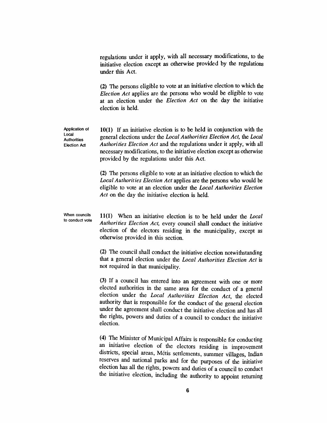*regulations under it apply, with all necessary modifications, to the initiative election except as otherwise provided by the regulations under this Act.*

*(2) The persons eligible to vote at an initiative election to which the Election Act applies are the persons who would be eligible to vote at an election under the Election Act on the day the initiative election is held.*

*10(1) If an initiative election is to be held in conjunction with the general elections under the Local Authorities Election Act, the Local Authorities Election Act and the regulations under it apply, with all necessary modifications, to the initiative election except as otherwise provided by the regulations under this Act.*

*(2) The persons eligible to vote at an initiative election to which the Local Authorities Election Act applies are the persons who would be eligible to vote at an election under the Local Authorities Election Act on the day the initiative election is held.*

*When councils to conduct vote*

*Application of Local Authorities Election Act*

> *11(1) When an initiative election is to be held under the Local Authorities Election Act, every council shall conduct the initiative election of the electors residing in the municipality, except as otherwise provided in this section.*

> *(2) The council shall conduct the initiative election notwithstanding that a general election under the Local Authorities Election Act is not required in that municipality.*

> *(3) If a council has entered into an agreement with one or more elected authorities in the same area for the conduct of a general election under the Local Authorities Election Act, the elected authority that is responsible for the conduct of the general election under the agreement shall conduct the initiative election and has all the rights, powers and duties of a council to conduct the initiative election.*

> *(4) The Minister of Municipal Affairs is responsible for conducting an initiative election of the electors residing in improvement districts, special areas, Metis settlements, summer villages, Indian reserves and national parks and for the purposes of the initiative election has all the rights, powers and duties of a council to conduct the initiative election, including the authority to appoint returning*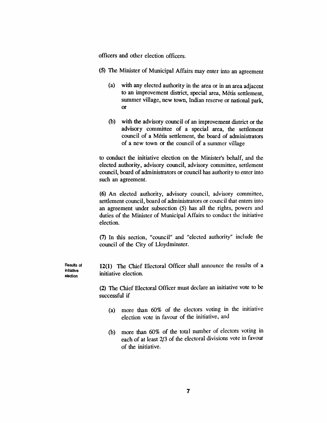*officers and other election officers.*

- *(5) The Minister of Municipal Affairs may enter into an agreement*
	- *(a) with any elected authority in the area or in an area adjacent to an improvement district, special area, Metis settlement, summer village, new town, Indian reserve or national park, or*
	- *(b) with the advisory council of an improvement district or the advisory committee of a special area, the settlement council of a Metis settlement, the board of administrators of a new town or the council of a summer village*

*to conduct the initiative election on the Minister's behalf, and the elected authority, advisory council, advisory committee, settlement council, board of administrators or council has authority to enter into such an agreement.*

*(6) An elected authority, advisory council, advisory committee, settlement council, board of administrators or council that enters into an agreement under subsection (5) has all the rights, powers and duties of the Minister of Municipal Affairs to conduct the initiative election.*

*(7) In this section, "council" and "elected authority" include the council of the City of Lloydminster.*

*12(1) The Chief Electoral Officer shall announce the results of a initiative election.*

*(2) The Chief Electoral Officer must declare an initiative vote to be successful if*

- *(a) more than 60% of the electors voting in the initiative election vote in favour of the initiative, and*
- *(b) more than 60% of the total number of electors voting in each of at least 2/3 of the electoral divisions vote in favour of the initiative.*

*Results of initiative election*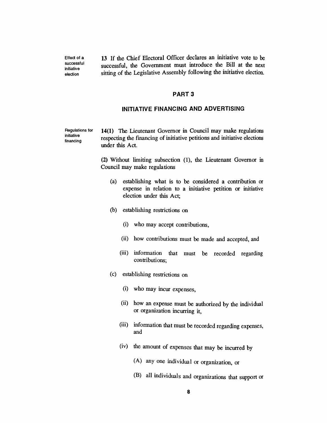*13 If the Chief Electoral Officer declares an initiative vote to be successful, the Government must introduce the Bill at the next sitting of the Legislative Assembly following the initiative election.*

#### *PART 3*

#### *INITIATIVE FINANCING AND ADVERTISING*

*Regulations for initiative financing 14(1) The Lieutenant Governor in Council may make regulations respecting the financing of initiative petitions and initiative elections under this Act.*

> *(2) Without limiting subsection (1), the Lieutenant Governor in Council may make regulations*

- *(a) establishing what is to be considered a contribution or expense in relation to a initiative petition or initiative election under this Act;*
- *(b) establishing restrictions on*

*Effect of a successful initiative election*

- *(i) who may accept contributions,*
- *(ii) how contributions must be made and accepted, and*
- *(iii) information that must be recorded regarding contributions;*
- *(c) establishing restrictions on*
	- *(i) who may incur expenses,*
	- *(ii) how an expense must be authorized by the individual or organization incurring it,*
	- *(iii) information that must be recorded regarding expenses, and*
	- *(iv) the amount of expenses that may be incurred by*
		- *(A) any one individual or organization, or*
		- *(B) all individuals and organizations that support or*

*8*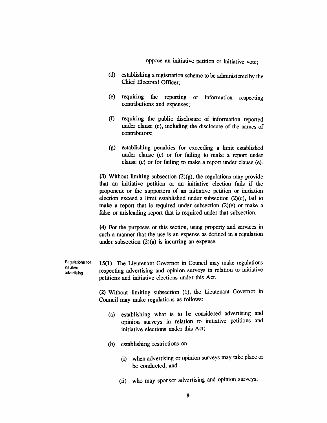*oppose an initiative petition or initiative vote;*

- *(d) establishing a registration scheme to be administered by the Chief Electoral Officer;*
- *(e) requiring the reporting of information respecting contributions and expenses;*
- *(f) requiring the public disclosure of information reported under clause (e), including the disclosure of the names of contributors;*
- *(g) establishing penalties for exceeding a limit established under clause (c) or for failing to make a report under clause (c) or for failing to make a report under clause (e).*

*(3) Without limiting subsection (2)(g), the regulations may provide that an initiative petition or an initiative election fails if the proponent or the supporters of an initiative petition or initiation election exceed a limit established under subsection (2)(c), fail to make a report that is required under subsection (2)(e) or make a false or misleading report that is required under that subsection.*

*(4) For the purposes of this section, using property and services in such a manner that the use is an expense as defined in a regulation under subsection (2)(a) is incurring an expense.*

*Regulations for 15(1) The Lieutenant Governor in Council may make regulations respecting advertising and opinion surveys in relation to initiative petitions and initiative elections under this Act.*

> *(2) Without limiting subsection (1), the Lieutenant Governor in Council may make regulations as follows:*

- *(a) establishing what is to be considered advertising and opinion surveys in relation to initiative petitions and initiative elections under this Act;*
- *(b) establishing restrictions on*

*initiative advertising*

- *(i) when advertising or opinion surveys may take place or be conducted, and*
- *(ii) who may sponsor advertising and opinion surveys;*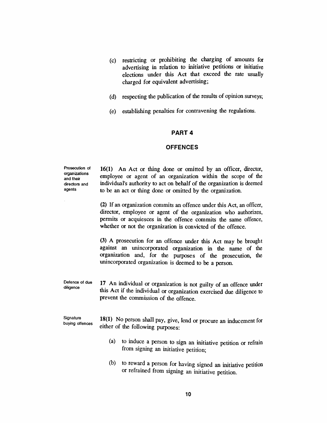- *(c) restricting or prohibiting the charging of amounts for advertising in relation to initiative petitions or initiative elections under this Act that exceed the rate usually charged for equivalent advertising;*
- *(d) respecting the publication of the results of opinion surveys;*
- *(e) establishing penalties for contravening the regulations.*

#### *PART 4*

#### *OFFENCES*

*Prosecution of organizations and their directors and agents*

*16(1) An Act or thing done or omitted by an officer, director, employee or agent of an organization within the scope of the individual's authority to act on behalf of the organization is deemed to be an act or thing done or omitted by the organization.*

*(2) If an organization commits an offence under this Act, an officer, director, employee or agent of the organization who authorizes, permits or acquiesces in the offence commits the same offence, whether or not the organization is convicted of the offence.*

*(3) A prosecution for an offence under this Act may be brought against an unincorporated organization in the name of the organization and, for the purposes of the prosecution, the unincorporated organization is deemed to be a person.*

*Defence of due diligence 17 An individual or organization is not guilty of an offence under this Act if the individual or organization exercised due diligence to prevent the commission of the offence.*

*Signature buying offences 18(1) No person shall pay, give, lend or procure an inducement for either of the following purposes:*

- *(a) to induce a person to sign an initiative petition or refrain from signing an initiative petition;*
- *(b) to reward a person for having signed an initiative petition or refrained from signing an initiative petition.*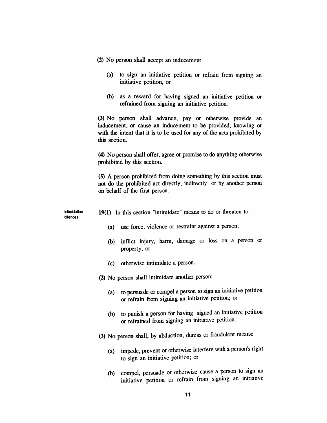- *(2) No person shall accept an inducement*
	- *(a) to sign an initiative petition or refrain from signing an initiative petition, or*
	- *(b) as a reward for having signed an initiative petition or refrained from signing an initiative petition.*

*(3) No person shall advance, pay or otherwise provide an inducement, or cause an inducement to be provided, knowing or with the intent that it is to be used for any of the acts prohibited by this section.*

*(4) No person shall offer, agree or promise to do anything otherwise prohibited by this section.*

*(5) A person prohibited from doing something by this section must not do the prohibited act directly, indirectly or by another person on behalf of the first person.*

*Intimidation offences*

- *19(1) In this section "intimidate" means to do or threaten to:*
	- *(a) use force, violence or restraint against a person;*
	- *(b) inflict injury, harm, damage or loss on a person or property; or*
	- *(c) otherwise intimidate a person.*
- *(2) No person shall intimidate another person:*
	- *(a) to persuade or compel a person to sign an initiative petition or refrain from signing an initiative petition; or*
	- *(b) to punish a person for having signed an initiative petition or refrained from signing an initiative petition.*
- *(3) No person shall, by abduction, duress or fraudulent means.*
	- *(a) impede, prevent or otherwise interfere with a person's right to sign an initiative petition; or*
	- *(b) compel, persuade or otherwise cause a person to sign an initiative petition or refrain from signing an initiative*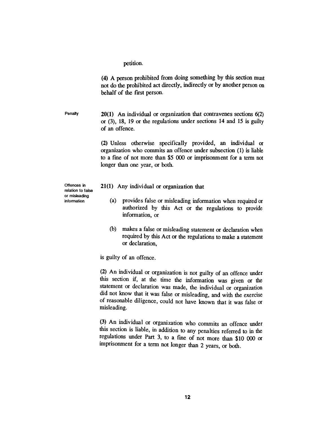*petition.*

*(4) A person prohibited from doing something by this section must not do the prohibited act directly, indirectly or by another person on behalf of the first person.*

*Penalty 20(1) An individual or organization that contravenes sections 6(2) or (3), 18, 19 or the regulations under sections 14 and 15 is guilty of an offence.*

> *(2) Unless otherwise specifically provided, an individual or organization who commits an offence under subsection (1) is liable to a fine of not more than \$5 000 or imprisonment for a term not longer than one year, or both.*

*Offences in relation to false or misleading information*

- *21(1) Any individual or organization that*
	- *(a) provides false or misleading information when required or authorized by this Act or the regulations to provide information, or*
	- *(b) makes a false or misleading statement or declaration when required by this Act or the regulations to make a statement or declaration,*

*is guilty of an offence.*

*(2) An individual or organization is not guilty of an offence under this section if, at the time the information was given or the statement or declaration was made, the individual or organization did not know that it was false or misleading, and with the exercise of reasonable diligence, could not have known that it was false or misleading.*

*(3) An individual or organization who commits an offence under this section is liable, in addition to any penalties referred to in the regulations under Part 3, to a fine of not more than \$10 000 or imprisonment for a term not longer than 2 years, or both.*